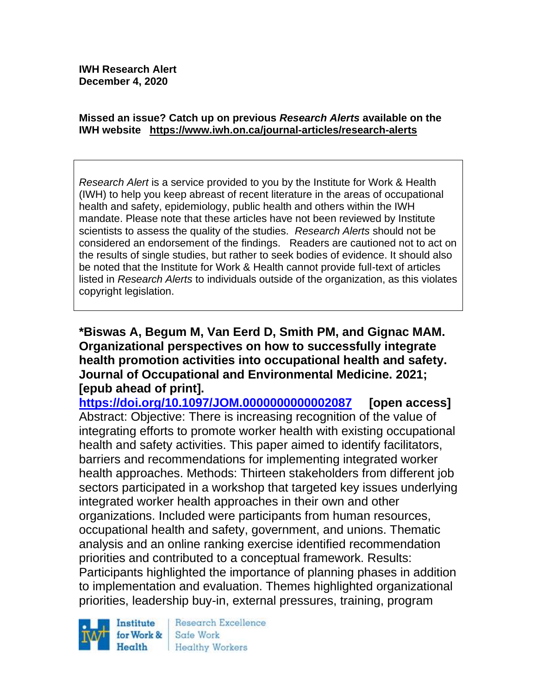#### **Missed an issue? Catch up on previous** *Research Alerts* **available on the [IWH website](http://www.iwh.on.ca/research-alerts) <https://www.iwh.on.ca/journal-articles/research-alerts>**

*Research Alert* is a service provided to you by the Institute for Work & Health (IWH) to help you keep abreast of recent literature in the areas of occupational health and safety, epidemiology, public health and others within the IWH mandate. Please note that these articles have not been reviewed by Institute scientists to assess the quality of the studies. *Research Alerts* should not be considered an endorsement of the findings. Readers are cautioned not to act on the results of single studies, but rather to seek bodies of evidence. It should also be noted that the Institute for Work & Health cannot provide full-text of articles listed in *Research Alerts* to individuals outside of the organization, as this violates copyright legislation.

## **\*Biswas A, Begum M, Van Eerd D, Smith PM, and Gignac MAM. Organizational perspectives on how to successfully integrate health promotion activities into occupational health and safety. Journal of Occupational and Environmental Medicine. 2021; [epub ahead of print].**

**<https://doi.org/10.1097/JOM.0000000000002087> [open access]** Abstract: Objective: There is increasing recognition of the value of integrating efforts to promote worker health with existing occupational health and safety activities. This paper aimed to identify facilitators, barriers and recommendations for implementing integrated worker health approaches. Methods: Thirteen stakeholders from different job sectors participated in a workshop that targeted key issues underlying integrated worker health approaches in their own and other organizations. Included were participants from human resources, occupational health and safety, government, and unions. Thematic analysis and an online ranking exercise identified recommendation priorities and contributed to a conceptual framework. Results: Participants highlighted the importance of planning phases in addition to implementation and evaluation. Themes highlighted organizational priorities, leadership buy-in, external pressures, training, program



Research Excellence Safe Work Healthy Workers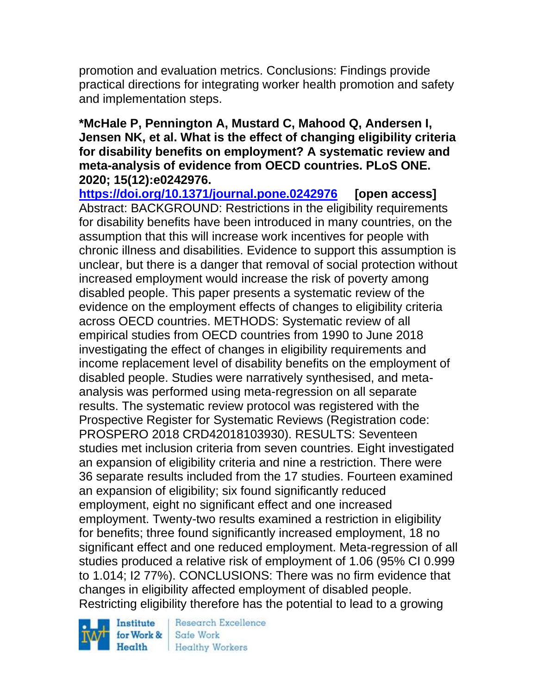promotion and evaluation metrics. Conclusions: Findings provide practical directions for integrating worker health promotion and safety and implementation steps.

### **\*McHale P, Pennington A, Mustard C, Mahood Q, Andersen I, Jensen NK, et al. What is the effect of changing eligibility criteria for disability benefits on employment? A systematic review and meta-analysis of evidence from OECD countries. PLoS ONE. 2020; 15(12):e0242976.**

**<https://doi.org/10.1371/journal.pone.0242976> [open access]** Abstract: BACKGROUND: Restrictions in the eligibility requirements for disability benefits have been introduced in many countries, on the assumption that this will increase work incentives for people with chronic illness and disabilities. Evidence to support this assumption is unclear, but there is a danger that removal of social protection without increased employment would increase the risk of poverty among disabled people. This paper presents a systematic review of the evidence on the employment effects of changes to eligibility criteria across OECD countries. METHODS: Systematic review of all empirical studies from OECD countries from 1990 to June 2018 investigating the effect of changes in eligibility requirements and income replacement level of disability benefits on the employment of disabled people. Studies were narratively synthesised, and metaanalysis was performed using meta-regression on all separate results. The systematic review protocol was registered with the Prospective Register for Systematic Reviews (Registration code: PROSPERO 2018 CRD42018103930). RESULTS: Seventeen studies met inclusion criteria from seven countries. Eight investigated an expansion of eligibility criteria and nine a restriction. There were 36 separate results included from the 17 studies. Fourteen examined an expansion of eligibility; six found significantly reduced employment, eight no significant effect and one increased employment. Twenty-two results examined a restriction in eligibility for benefits; three found significantly increased employment, 18 no significant effect and one reduced employment. Meta-regression of all studies produced a relative risk of employment of 1.06 (95% CI 0.999 to 1.014; I2 77%). CONCLUSIONS: There was no firm evidence that changes in eligibility affected employment of disabled people. Restricting eligibility therefore has the potential to lead to a growing

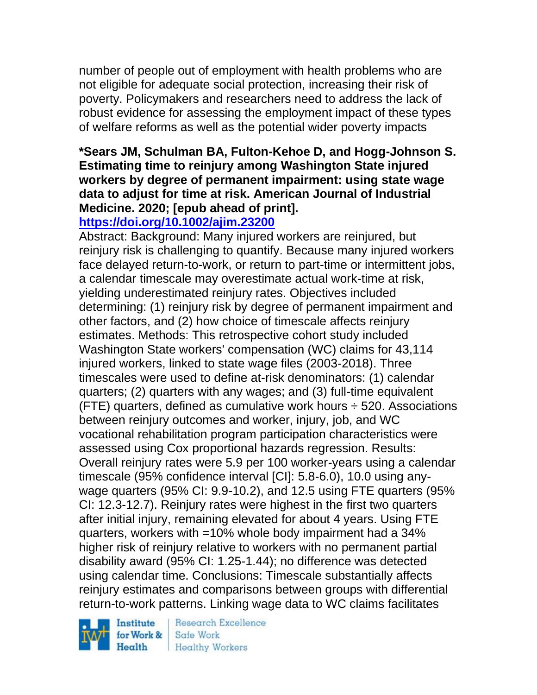number of people out of employment with health problems who are not eligible for adequate social protection, increasing their risk of poverty. Policymakers and researchers need to address the lack of robust evidence for assessing the employment impact of these types of welfare reforms as well as the potential wider poverty impacts

# **\*Sears JM, Schulman BA, Fulton-Kehoe D, and Hogg-Johnson S. Estimating time to reinjury among Washington State injured workers by degree of permanent impairment: using state wage data to adjust for time at risk. American Journal of Industrial Medicine. 2020; [epub ahead of print].**

# **<https://doi.org/10.1002/ajim.23200>**

Abstract: Background: Many injured workers are reinjured, but reinjury risk is challenging to quantify. Because many injured workers face delayed return-to-work, or return to part-time or intermittent jobs, a calendar timescale may overestimate actual work-time at risk, yielding underestimated reinjury rates. Objectives included determining: (1) reinjury risk by degree of permanent impairment and other factors, and (2) how choice of timescale affects reinjury estimates. Methods: This retrospective cohort study included Washington State workers' compensation (WC) claims for 43,114 injured workers, linked to state wage files (2003-2018). Three timescales were used to define at-risk denominators: (1) calendar quarters; (2) quarters with any wages; and (3) full-time equivalent (FTE) quarters, defined as cumulative work hours  $\div$  520. Associations between reinjury outcomes and worker, injury, job, and WC vocational rehabilitation program participation characteristics were assessed using Cox proportional hazards regression. Results: Overall reinjury rates were 5.9 per 100 worker-years using a calendar timescale (95% confidence interval [CI]: 5.8-6.0), 10.0 using anywage quarters (95% CI: 9.9-10.2), and 12.5 using FTE quarters (95% CI: 12.3-12.7). Reinjury rates were highest in the first two quarters after initial injury, remaining elevated for about 4 years. Using FTE quarters, workers with =10% whole body impairment had a 34% higher risk of reinjury relative to workers with no permanent partial disability award (95% CI: 1.25-1.44); no difference was detected using calendar time. Conclusions: Timescale substantially affects reinjury estimates and comparisons between groups with differential return-to-work patterns. Linking wage data to WC claims facilitates

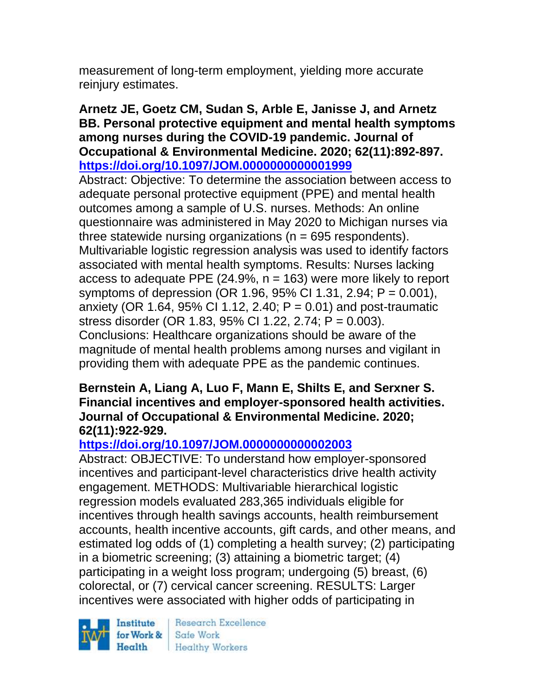measurement of long-term employment, yielding more accurate reinjury estimates.

## **Arnetz JE, Goetz CM, Sudan S, Arble E, Janisse J, and Arnetz BB. Personal protective equipment and mental health symptoms among nurses during the COVID-19 pandemic. Journal of Occupational & Environmental Medicine. 2020; 62(11):892-897. <https://doi.org/10.1097/JOM.0000000000001999>**

Abstract: Objective: To determine the association between access to adequate personal protective equipment (PPE) and mental health outcomes among a sample of U.S. nurses. Methods: An online questionnaire was administered in May 2020 to Michigan nurses via three statewide nursing organizations ( $n = 695$  respondents). Multivariable logistic regression analysis was used to identify factors associated with mental health symptoms. Results: Nurses lacking access to adequate PPE  $(24.9\%, n = 163)$  were more likely to report symptoms of depression (OR 1.96, 95% CI 1.31, 2.94; P = 0.001), anxiety (OR 1.64, 95% CI 1.12, 2.40;  $P = 0.01$ ) and post-traumatic stress disorder (OR 1.83, 95% CI 1.22, 2.74; P = 0.003). Conclusions: Healthcare organizations should be aware of the magnitude of mental health problems among nurses and vigilant in providing them with adequate PPE as the pandemic continues.

### **Bernstein A, Liang A, Luo F, Mann E, Shilts E, and Serxner S. Financial incentives and employer-sponsored health activities. Journal of Occupational & Environmental Medicine. 2020; 62(11):922-929.**

# **<https://doi.org/10.1097/JOM.0000000000002003>**

Abstract: OBJECTIVE: To understand how employer-sponsored incentives and participant-level characteristics drive health activity engagement. METHODS: Multivariable hierarchical logistic regression models evaluated 283,365 individuals eligible for incentives through health savings accounts, health reimbursement accounts, health incentive accounts, gift cards, and other means, and estimated log odds of (1) completing a health survey; (2) participating in a biometric screening; (3) attaining a biometric target; (4) participating in a weight loss program; undergoing (5) breast, (6) colorectal, or (7) cervical cancer screening. RESULTS: Larger incentives were associated with higher odds of participating in

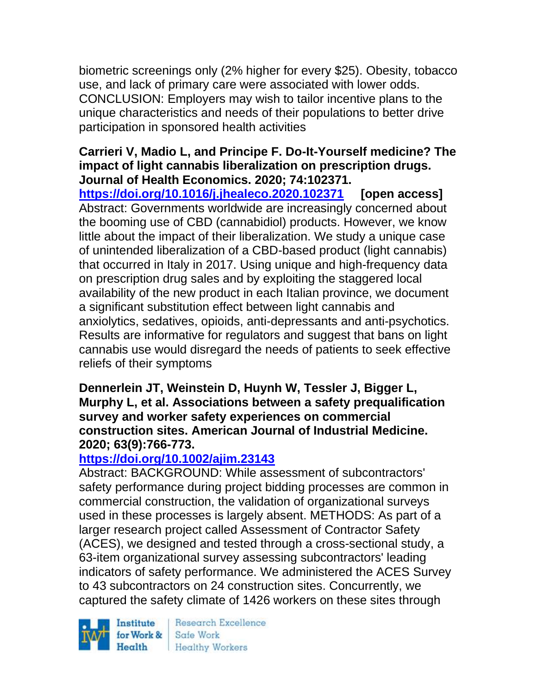biometric screenings only (2% higher for every \$25). Obesity, tobacco use, and lack of primary care were associated with lower odds. CONCLUSION: Employers may wish to tailor incentive plans to the unique characteristics and needs of their populations to better drive participation in sponsored health activities

## **Carrieri V, Madio L, and Principe F. Do-It-Yourself medicine? The impact of light cannabis liberalization on prescription drugs. Journal of Health Economics. 2020; 74:102371.**

**<https://doi.org/10.1016/j.jhealeco.2020.102371> [open access]** Abstract: Governments worldwide are increasingly concerned about the booming use of CBD (cannabidiol) products. However, we know little about the impact of their liberalization. We study a unique case of unintended liberalization of a CBD-based product (light cannabis) that occurred in Italy in 2017. Using unique and high-frequency data on prescription drug sales and by exploiting the staggered local availability of the new product in each Italian province, we document a significant substitution effect between light cannabis and anxiolytics, sedatives, opioids, anti-depressants and anti-psychotics. Results are informative for regulators and suggest that bans on light cannabis use would disregard the needs of patients to seek effective reliefs of their symptoms

### **Dennerlein JT, Weinstein D, Huynh W, Tessler J, Bigger L, Murphy L, et al. Associations between a safety prequalification survey and worker safety experiences on commercial construction sites. American Journal of Industrial Medicine. 2020; 63(9):766-773.**

# **<https://doi.org/10.1002/ajim.23143>**

Abstract: BACKGROUND: While assessment of subcontractors' safety performance during project bidding processes are common in commercial construction, the validation of organizational surveys used in these processes is largely absent. METHODS: As part of a larger research project called Assessment of Contractor Safety (ACES), we designed and tested through a cross-sectional study, a 63-item organizational survey assessing subcontractors' leading indicators of safety performance. We administered the ACES Survey to 43 subcontractors on 24 construction sites. Concurrently, we captured the safety climate of 1426 workers on these sites through

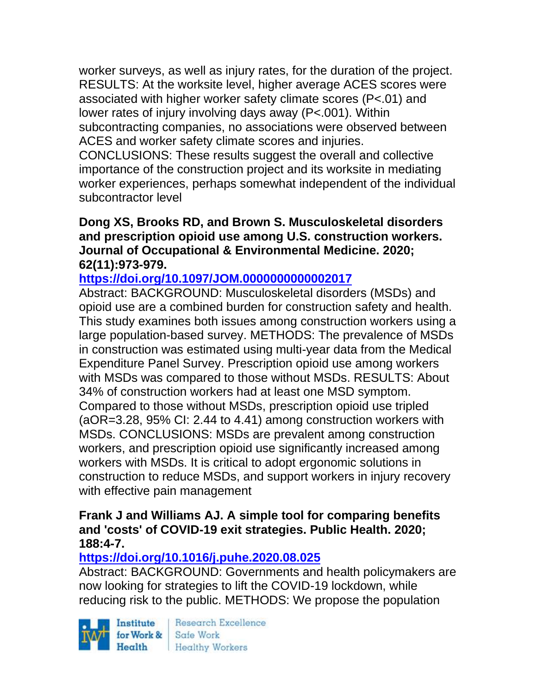worker surveys, as well as injury rates, for the duration of the project. RESULTS: At the worksite level, higher average ACES scores were associated with higher worker safety climate scores (P<.01) and lower rates of injury involving days away (P<.001). Within subcontracting companies, no associations were observed between ACES and worker safety climate scores and injuries.

CONCLUSIONS: These results suggest the overall and collective importance of the construction project and its worksite in mediating worker experiences, perhaps somewhat independent of the individual subcontractor level

### **Dong XS, Brooks RD, and Brown S. Musculoskeletal disorders and prescription opioid use among U.S. construction workers. Journal of Occupational & Environmental Medicine. 2020; 62(11):973-979.**

# **<https://doi.org/10.1097/JOM.0000000000002017>**

Abstract: BACKGROUND: Musculoskeletal disorders (MSDs) and opioid use are a combined burden for construction safety and health. This study examines both issues among construction workers using a large population-based survey. METHODS: The prevalence of MSDs in construction was estimated using multi-year data from the Medical Expenditure Panel Survey. Prescription opioid use among workers with MSDs was compared to those without MSDs. RESULTS: About 34% of construction workers had at least one MSD symptom. Compared to those without MSDs, prescription opioid use tripled (aOR=3.28, 95% CI: 2.44 to 4.41) among construction workers with MSDs. CONCLUSIONS: MSDs are prevalent among construction workers, and prescription opioid use significantly increased among workers with MSDs. It is critical to adopt ergonomic solutions in construction to reduce MSDs, and support workers in injury recovery with effective pain management

#### **Frank J and Williams AJ. A simple tool for comparing benefits and 'costs' of COVID-19 exit strategies. Public Health. 2020; 188:4-7.**

# **<https://doi.org/10.1016/j.puhe.2020.08.025>**

Abstract: BACKGROUND: Governments and health policymakers are now looking for strategies to lift the COVID-19 lockdown, while reducing risk to the public. METHODS: We propose the population

Institute Health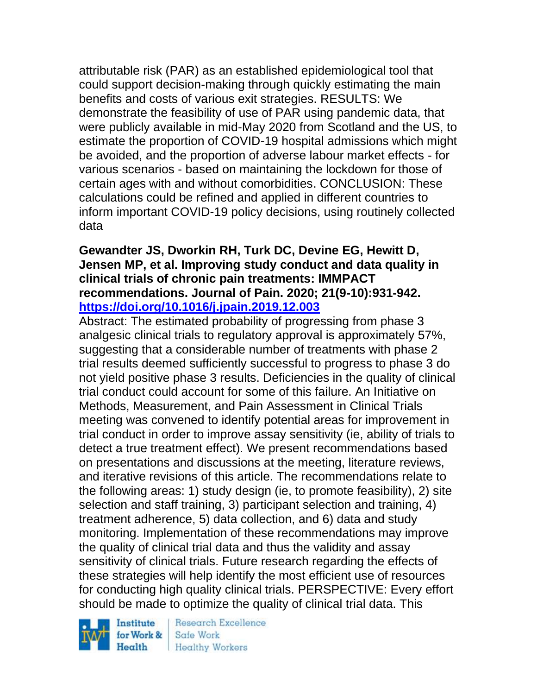attributable risk (PAR) as an established epidemiological tool that could support decision-making through quickly estimating the main benefits and costs of various exit strategies. RESULTS: We demonstrate the feasibility of use of PAR using pandemic data, that were publicly available in mid-May 2020 from Scotland and the US, to estimate the proportion of COVID-19 hospital admissions which might be avoided, and the proportion of adverse labour market effects - for various scenarios - based on maintaining the lockdown for those of certain ages with and without comorbidities. CONCLUSION: These calculations could be refined and applied in different countries to inform important COVID-19 policy decisions, using routinely collected data

#### **Gewandter JS, Dworkin RH, Turk DC, Devine EG, Hewitt D, Jensen MP, et al. Improving study conduct and data quality in clinical trials of chronic pain treatments: IMMPACT recommendations. Journal of Pain. 2020; 21(9-10):931-942. <https://doi.org/10.1016/j.jpain.2019.12.003>**

Abstract: The estimated probability of progressing from phase 3 analgesic clinical trials to regulatory approval is approximately 57%, suggesting that a considerable number of treatments with phase 2 trial results deemed sufficiently successful to progress to phase 3 do not yield positive phase 3 results. Deficiencies in the quality of clinical trial conduct could account for some of this failure. An Initiative on Methods, Measurement, and Pain Assessment in Clinical Trials meeting was convened to identify potential areas for improvement in trial conduct in order to improve assay sensitivity (ie, ability of trials to detect a true treatment effect). We present recommendations based on presentations and discussions at the meeting, literature reviews, and iterative revisions of this article. The recommendations relate to the following areas: 1) study design (ie, to promote feasibility), 2) site selection and staff training, 3) participant selection and training, 4) treatment adherence, 5) data collection, and 6) data and study monitoring. Implementation of these recommendations may improve the quality of clinical trial data and thus the validity and assay sensitivity of clinical trials. Future research regarding the effects of these strategies will help identify the most efficient use of resources for conducting high quality clinical trials. PERSPECTIVE: Every effort should be made to optimize the quality of clinical trial data. This

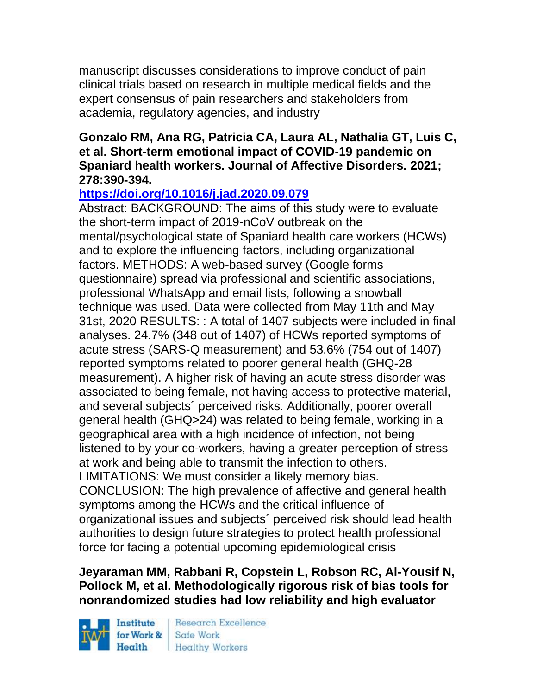manuscript discusses considerations to improve conduct of pain clinical trials based on research in multiple medical fields and the expert consensus of pain researchers and stakeholders from academia, regulatory agencies, and industry

### **Gonzalo RM, Ana RG, Patricia CA, Laura AL, Nathalia GT, Luis C, et al. Short-term emotional impact of COVID-19 pandemic on Spaniard health workers. Journal of Affective Disorders. 2021; 278:390-394.**

# **<https://doi.org/10.1016/j.jad.2020.09.079>**

Abstract: BACKGROUND: The aims of this study were to evaluate the short-term impact of 2019-nCoV outbreak on the mental/psychological state of Spaniard health care workers (HCWs) and to explore the influencing factors, including organizational factors. METHODS: A web-based survey (Google forms questionnaire) spread via professional and scientific associations, professional WhatsApp and email lists, following a snowball technique was used. Data were collected from May 11th and May 31st, 2020 RESULTS: : A total of 1407 subjects were included in final analyses. 24.7% (348 out of 1407) of HCWs reported symptoms of acute stress (SARS-Q measurement) and 53.6% (754 out of 1407) reported symptoms related to poorer general health (GHQ-28 measurement). A higher risk of having an acute stress disorder was associated to being female, not having access to protective material, and several subjects´ perceived risks. Additionally, poorer overall general health (GHQ>24) was related to being female, working in a geographical area with a high incidence of infection, not being listened to by your co-workers, having a greater perception of stress at work and being able to transmit the infection to others. LIMITATIONS: We must consider a likely memory bias. CONCLUSION: The high prevalence of affective and general health symptoms among the HCWs and the critical influence of organizational issues and subjects´ perceived risk should lead health authorities to design future strategies to protect health professional force for facing a potential upcoming epidemiological crisis

# **Jeyaraman MM, Rabbani R, Copstein L, Robson RC, Al-Yousif N, Pollock M, et al. Methodologically rigorous risk of bias tools for nonrandomized studies had low reliability and high evaluator**

Institute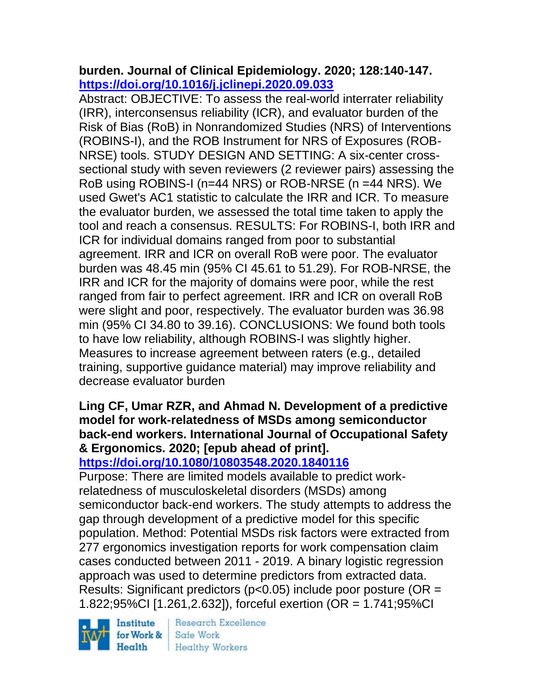# **burden. Journal of Clinical Epidemiology. 2020; 128:140-147. <https://doi.org/10.1016/j.jclinepi.2020.09.033>**

Abstract: OBJECTIVE: To assess the real-world interrater reliability (IRR), interconsensus reliability (ICR), and evaluator burden of the Risk of Bias (RoB) in Nonrandomized Studies (NRS) of Interventions (ROBINS-I), and the ROB Instrument for NRS of Exposures (ROB-NRSE) tools. STUDY DESIGN AND SETTING: A six-center crosssectional study with seven reviewers (2 reviewer pairs) assessing the RoB using ROBINS-I (n=44 NRS) or ROB-NRSE (n =44 NRS). We used Gwet's AC1 statistic to calculate the IRR and ICR. To measure the evaluator burden, we assessed the total time taken to apply the tool and reach a consensus. RESULTS: For ROBINS-I, both IRR and ICR for individual domains ranged from poor to substantial agreement. IRR and ICR on overall RoB were poor. The evaluator burden was 48.45 min (95% CI 45.61 to 51.29). For ROB-NRSE, the IRR and ICR for the majority of domains were poor, while the rest ranged from fair to perfect agreement. IRR and ICR on overall RoB were slight and poor, respectively. The evaluator burden was 36.98 min (95% CI 34.80 to 39.16). CONCLUSIONS: We found both tools to have low reliability, although ROBINS-I was slightly higher. Measures to increase agreement between raters (e.g., detailed training, supportive guidance material) may improve reliability and decrease evaluator burden

# **Ling CF, Umar RZR, and Ahmad N. Development of a predictive model for work-relatedness of MSDs among semiconductor back-end workers. International Journal of Occupational Safety & Ergonomics. 2020; [epub ahead of print].**

**<https://doi.org/10.1080/10803548.2020.1840116>** 

Purpose: There are limited models available to predict workrelatedness of musculoskeletal disorders (MSDs) among semiconductor back-end workers. The study attempts to address the gap through development of a predictive model for this specific population. Method: Potential MSDs risk factors were extracted from 277 ergonomics investigation reports for work compensation claim cases conducted between 2011 - 2019. A binary logistic regression approach was used to determine predictors from extracted data. Results: Significant predictors ( $p$ <0.05) include poor posture ( $OR =$ 1.822;95%CI [1.261,2.632]), forceful exertion (OR = 1.741;95%CI

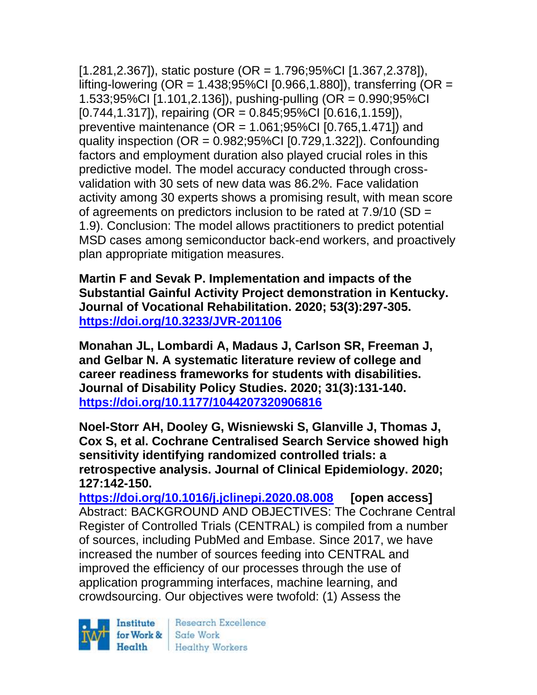[1.281,2.367]), static posture (OR = 1.796;95%CI [1.367,2.378]), lifting-lowering (OR = 1.438;95%CI [0.966,1.880]), transferring (OR = 1.533;95%CI [1.101,2.136]), pushing-pulling (OR = 0.990;95%CI [0.744,1.317]), repairing (OR = 0.845;95%CI [0.616,1.159]), preventive maintenance ( $OR = 1.061;95\%$ CI [0.765,1.471]) and quality inspection (OR = 0.982;95%CI [0.729,1.322]). Confounding factors and employment duration also played crucial roles in this predictive model. The model accuracy conducted through crossvalidation with 30 sets of new data was 86.2%. Face validation activity among 30 experts shows a promising result, with mean score of agreements on predictors inclusion to be rated at 7.9/10 (SD = 1.9). Conclusion: The model allows practitioners to predict potential MSD cases among semiconductor back-end workers, and proactively plan appropriate mitigation measures.

**Martin F and Sevak P. Implementation and impacts of the Substantial Gainful Activity Project demonstration in Kentucky. Journal of Vocational Rehabilitation. 2020; 53(3):297-305. <https://doi.org/10.3233/JVR-201106>** 

**Monahan JL, Lombardi A, Madaus J, Carlson SR, Freeman J, and Gelbar N. A systematic literature review of college and career readiness frameworks for students with disabilities. Journal of Disability Policy Studies. 2020; 31(3):131-140. <https://doi.org/10.1177/1044207320906816>** 

**Noel-Storr AH, Dooley G, Wisniewski S, Glanville J, Thomas J, Cox S, et al. Cochrane Centralised Search Service showed high sensitivity identifying randomized controlled trials: a retrospective analysis. Journal of Clinical Epidemiology. 2020; 127:142-150.**

**<https://doi.org/10.1016/j.jclinepi.2020.08.008> [open access]** Abstract: BACKGROUND AND OBJECTIVES: The Cochrane Central Register of Controlled Trials (CENTRAL) is compiled from a number of sources, including PubMed and Embase. Since 2017, we have increased the number of sources feeding into CENTRAL and improved the efficiency of our processes through the use of application programming interfaces, machine learning, and crowdsourcing. Our objectives were twofold: (1) Assess the

Institute Health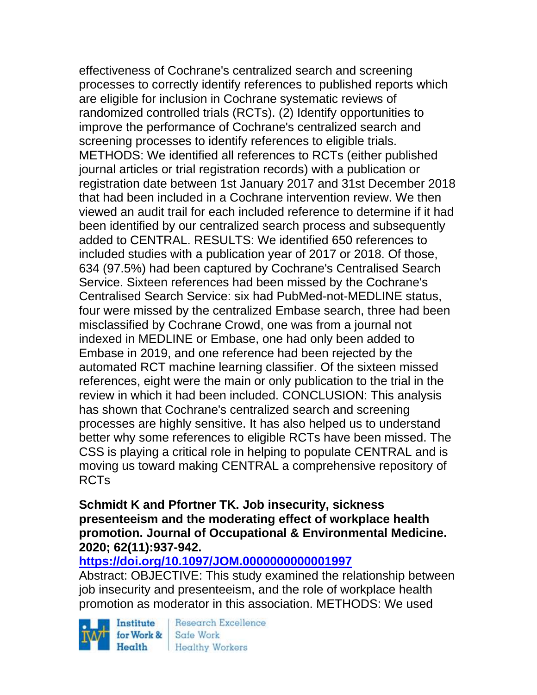effectiveness of Cochrane's centralized search and screening processes to correctly identify references to published reports which are eligible for inclusion in Cochrane systematic reviews of randomized controlled trials (RCTs). (2) Identify opportunities to improve the performance of Cochrane's centralized search and screening processes to identify references to eligible trials. METHODS: We identified all references to RCTs (either published journal articles or trial registration records) with a publication or registration date between 1st January 2017 and 31st December 2018 that had been included in a Cochrane intervention review. We then viewed an audit trail for each included reference to determine if it had been identified by our centralized search process and subsequently added to CENTRAL. RESULTS: We identified 650 references to included studies with a publication year of 2017 or 2018. Of those, 634 (97.5%) had been captured by Cochrane's Centralised Search Service. Sixteen references had been missed by the Cochrane's Centralised Search Service: six had PubMed-not-MEDLINE status, four were missed by the centralized Embase search, three had been misclassified by Cochrane Crowd, one was from a journal not indexed in MEDLINE or Embase, one had only been added to Embase in 2019, and one reference had been rejected by the automated RCT machine learning classifier. Of the sixteen missed references, eight were the main or only publication to the trial in the review in which it had been included. CONCLUSION: This analysis has shown that Cochrane's centralized search and screening processes are highly sensitive. It has also helped us to understand better why some references to eligible RCTs have been missed. The CSS is playing a critical role in helping to populate CENTRAL and is moving us toward making CENTRAL a comprehensive repository of RCTs

#### **Schmidt K and Pfortner TK. Job insecurity, sickness presenteeism and the moderating effect of workplace health promotion. Journal of Occupational & Environmental Medicine. 2020; 62(11):937-942.**

## **<https://doi.org/10.1097/JOM.0000000000001997>**

Abstract: OBJECTIVE: This study examined the relationship between job insecurity and presenteeism, and the role of workplace health promotion as moderator in this association. METHODS: We used

Institute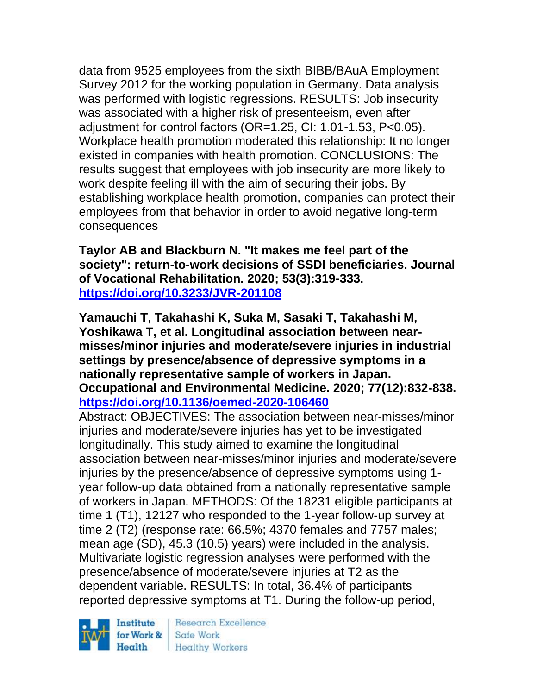data from 9525 employees from the sixth BIBB/BAuA Employment Survey 2012 for the working population in Germany. Data analysis was performed with logistic regressions. RESULTS: Job insecurity was associated with a higher risk of presenteeism, even after adjustment for control factors (OR=1.25, CI: 1.01-1.53, P<0.05). Workplace health promotion moderated this relationship: It no longer existed in companies with health promotion. CONCLUSIONS: The results suggest that employees with job insecurity are more likely to work despite feeling ill with the aim of securing their jobs. By establishing workplace health promotion, companies can protect their employees from that behavior in order to avoid negative long-term consequences

**Taylor AB and Blackburn N. "It makes me feel part of the society": return-to-work decisions of SSDI beneficiaries. Journal of Vocational Rehabilitation. 2020; 53(3):319-333. <https://doi.org/10.3233/JVR-201108>** 

**Yamauchi T, Takahashi K, Suka M, Sasaki T, Takahashi M, Yoshikawa T, et al. Longitudinal association between nearmisses/minor injuries and moderate/severe injuries in industrial settings by presence/absence of depressive symptoms in a nationally representative sample of workers in Japan. Occupational and Environmental Medicine. 2020; 77(12):832-838. <https://doi.org/10.1136/oemed-2020-106460>** 

Abstract: OBJECTIVES: The association between near-misses/minor injuries and moderate/severe injuries has yet to be investigated longitudinally. This study aimed to examine the longitudinal association between near-misses/minor injuries and moderate/severe injuries by the presence/absence of depressive symptoms using 1 year follow-up data obtained from a nationally representative sample of workers in Japan. METHODS: Of the 18231 eligible participants at time 1 (T1), 12127 who responded to the 1-year follow-up survey at time 2 (T2) (response rate: 66.5%; 4370 females and 7757 males; mean age (SD), 45.3 (10.5) years) were included in the analysis. Multivariate logistic regression analyses were performed with the presence/absence of moderate/severe injuries at T2 as the dependent variable. RESULTS: In total, 36.4% of participants reported depressive symptoms at T1. During the follow-up period,